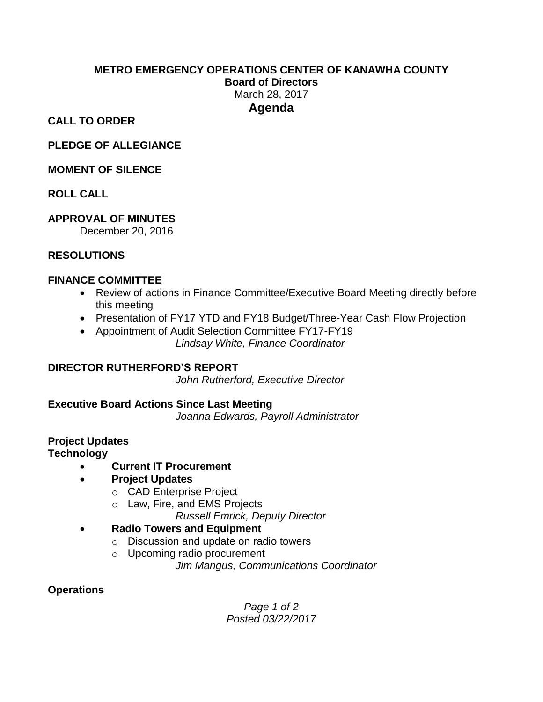# **METRO EMERGENCY OPERATIONS CENTER OF KANAWHA COUNTY**

**Board of Directors**

March 28, 2017 **Agenda**

**CALL TO ORDER**

**PLEDGE OF ALLEGIANCE**

## **MOMENT OF SILENCE**

**ROLL CALL**

# **APPROVAL OF MINUTES**

December 20, 2016

## **RESOLUTIONS**

## **FINANCE COMMITTEE**

- Review of actions in Finance Committee/Executive Board Meeting directly before this meeting
- Presentation of FY17 YTD and FY18 Budget/Three-Year Cash Flow Projection
- Appointment of Audit Selection Committee FY17-FY19 *Lindsay White, Finance Coordinator*

**DIRECTOR RUTHERFORD'S REPORT**

*John Rutherford, Executive Director*

**Executive Board Actions Since Last Meeting**

*Joanna Edwards, Payroll Administrator*

#### **Project Updates Technology**

- **Current IT Procurement**
- **Project Updates**
	- o CAD Enterprise Project
	- o Law, Fire, and EMS Projects

*Russell Emrick, Deputy Director*

- **Radio Towers and Equipment**
	- o Discussion and update on radio towers
	- o Upcoming radio procurement

*Jim Mangus, Communications Coordinator*

## **Operations**

*Page 1 of 2 Posted 03/22/2017*